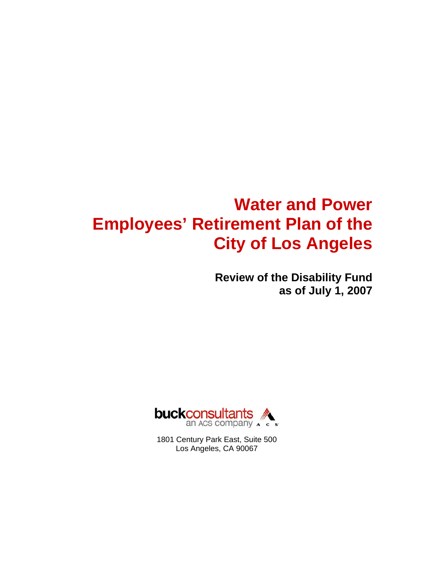# **Water and Power Employees' Retirement Plan of the City of Los Angeles**

**Review of the Disability Fund as of July 1, 2007** 



1801 Century Park East, Suite 500 Los Angeles, CA 90067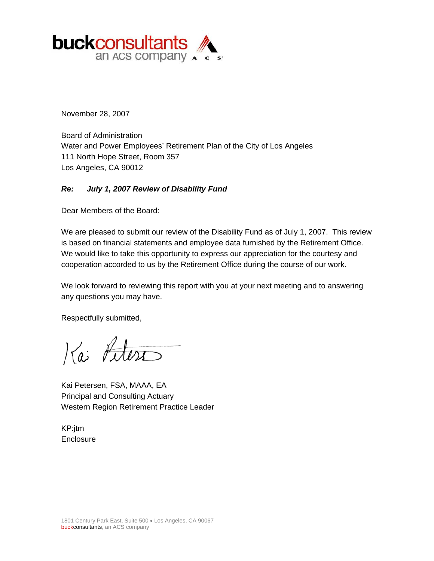

November 28, 2007

Board of Administration Water and Power Employees' Retirement Plan of the City of Los Angeles 111 North Hope Street, Room 357 Los Angeles, CA 90012

#### *Re: July 1, 2007 Review of Disability Fund*

Dear Members of the Board:

We are pleased to submit our review of the Disability Fund as of July 1, 2007. This review is based on financial statements and employee data furnished by the Retirement Office. We would like to take this opportunity to express our appreciation for the courtesy and cooperation accorded to us by the Retirement Office during the course of our work.

We look forward to reviewing this report with you at your next meeting and to answering any questions you may have.

Respectfully submitted,

Kai Litera

Kai Petersen, FSA, MAAA, EA Principal and Consulting Actuary Western Region Retirement Practice Leader

KP:jtm **Enclosure**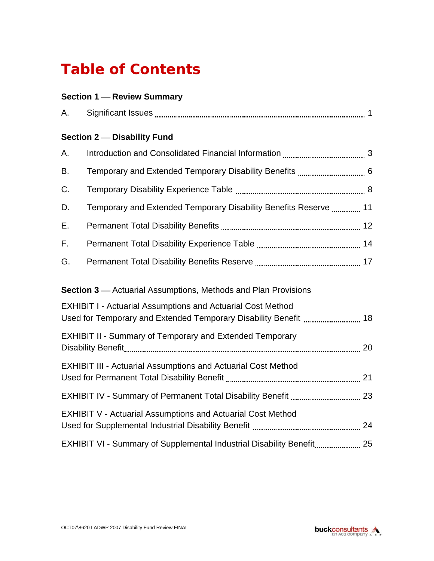# **Table of Contents**

# **Section 1 – Review Summary**

| А. |                                                                       |  |
|----|-----------------------------------------------------------------------|--|
|    | <b>Section 2- Disability Fund</b>                                     |  |
| А. |                                                                       |  |
| В. | Temporary and Extended Temporary Disability Benefits  6               |  |
| C. |                                                                       |  |
| D. | Temporary and Extended Temporary Disability Benefits Reserve  11      |  |
| Ε. |                                                                       |  |
| F. |                                                                       |  |
| G. |                                                                       |  |
|    | <b>Section 3</b> — Actuarial Assumptions, Methods and Plan Provisions |  |
|    | <b>EXHIBIT I - Actuarial Assumptions and Actuarial Cost Method</b>    |  |
|    | <b>EXHIBIT II - Summary of Temporary and Extended Temporary</b>       |  |
|    | <b>EXHIBIT III - Actuarial Assumptions and Actuarial Cost Method</b>  |  |
|    |                                                                       |  |
|    | <b>EXHIBIT V - Actuarial Assumptions and Actuarial Cost Method</b>    |  |
|    | EXHIBIT VI - Summary of Supplemental Industrial Disability Benefit 25 |  |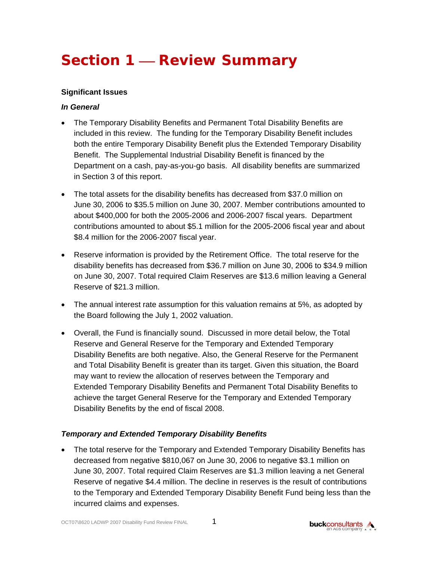# **Section 1 – Review Summary**

#### **Significant Issues**

#### *In General*

- The Temporary Disability Benefits and Permanent Total Disability Benefits are included in this review. The funding for the Temporary Disability Benefit includes both the entire Temporary Disability Benefit plus the Extended Temporary Disability Benefit. The Supplemental Industrial Disability Benefit is financed by the Department on a cash, pay-as-you-go basis. All disability benefits are summarized in Section 3 of this report.
- The total assets for the disability benefits has decreased from \$37.0 million on June 30, 2006 to \$35.5 million on June 30, 2007. Member contributions amounted to about \$400,000 for both the 2005-2006 and 2006-2007 fiscal years. Department contributions amounted to about \$5.1 million for the 2005-2006 fiscal year and about \$8.4 million for the 2006-2007 fiscal year.
- Reserve information is provided by the Retirement Office. The total reserve for the disability benefits has decreased from \$36.7 million on June 30, 2006 to \$34.9 million on June 30, 2007. Total required Claim Reserves are \$13.6 million leaving a General Reserve of \$21.3 million.
- The annual interest rate assumption for this valuation remains at 5%, as adopted by the Board following the July 1, 2002 valuation.
- Overall, the Fund is financially sound. Discussed in more detail below, the Total Reserve and General Reserve for the Temporary and Extended Temporary Disability Benefits are both negative. Also, the General Reserve for the Permanent and Total Disability Benefit is greater than its target. Given this situation, the Board may want to review the allocation of reserves between the Temporary and Extended Temporary Disability Benefits and Permanent Total Disability Benefits to achieve the target General Reserve for the Temporary and Extended Temporary Disability Benefits by the end of fiscal 2008.

### *Temporary and Extended Temporary Disability Benefits*

• The total reserve for the Temporary and Extended Temporary Disability Benefits has decreased from negative \$810,067 on June 30, 2006 to negative \$3.1 million on June 30, 2007. Total required Claim Reserves are \$1.3 million leaving a net General Reserve of negative \$4.4 million. The decline in reserves is the result of contributions to the Temporary and Extended Temporary Disability Benefit Fund being less than the incurred claims and expenses.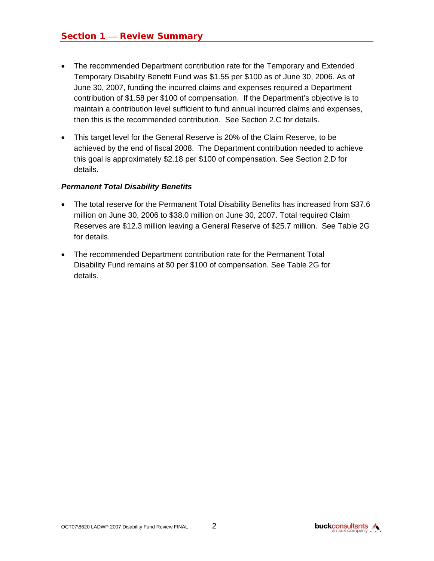- The recommended Department contribution rate for the Temporary and Extended Temporary Disability Benefit Fund was \$1.55 per \$100 as of June 30, 2006. As of June 30, 2007, funding the incurred claims and expenses required a Department contribution of \$1.58 per \$100 of compensation. If the Department's objective is to maintain a contribution level sufficient to fund annual incurred claims and expenses, then this is the recommended contribution. See Section 2.C for details.
- This target level for the General Reserve is 20% of the Claim Reserve, to be achieved by the end of fiscal 2008. The Department contribution needed to achieve this goal is approximately \$2.18 per \$100 of compensation. See Section 2.D for details.

#### *Permanent Total Disability Benefits*

- The total reserve for the Permanent Total Disability Benefits has increased from \$37.6 million on June 30, 2006 to \$38.0 million on June 30, 2007. Total required Claim Reserves are \$12.3 million leaving a General Reserve of \$25.7 million. See Table 2G for details.
- The recommended Department contribution rate for the Permanent Total Disability Fund remains at \$0 per \$100 of compensation. See Table 2G for details.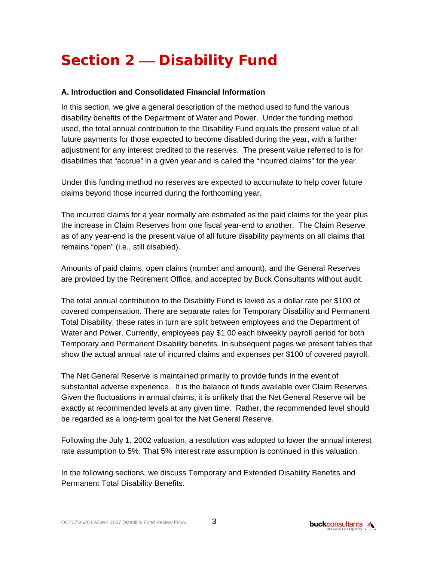# **Section 2 – Disability Fund**

#### **A. Introduction and Consolidated Financial Information**

In this section, we give a general description of the method used to fund the various disability benefits of the Department of Water and Power. Under the funding method used, the total annual contribution to the Disability Fund equals the present value of all future payments for those expected to become disabled during the year, with a further adjustment for any interest credited to the reserves. The present value referred to is for disabilities that "accrue" in a given year and is called the "incurred claims" for the year.

Under this funding method no reserves are expected to accumulate to help cover future claims beyond those incurred during the forthcoming year.

The incurred claims for a year normally are estimated as the paid claims for the year plus the increase in Claim Reserves from one fiscal year-end to another. The Claim Reserve as of any year-end is the present value of all future disability payments on all claims that remains "open" (i.e., still disabled).

Amounts of paid claims, open claims (number and amount), and the General Reserves are provided by the Retirement Office, and accepted by Buck Consultants without audit.

The total annual contribution to the Disability Fund is levied as a dollar rate per \$100 of covered compensation. There are separate rates for Temporary Disability and Permanent Total Disability; these rates in turn are split between employees and the Department of Water and Power. Currently, employees pay \$1.00 each biweekly payroll period for both Temporary and Permanent Disability benefits. In subsequent pages we present tables that show the actual annual rate of incurred claims and expenses per \$100 of covered payroll.

The Net General Reserve is maintained primarily to provide funds in the event of substantial adverse experience. It is the balance of funds available over Claim Reserves. Given the fluctuations in annual claims, it is unlikely that the Net General Reserve will be exactly at recommended levels at any given time. Rather, the recommended level should be regarded as a long-term goal for the Net General Reserve.

Following the July 1, 2002 valuation, a resolution was adopted to lower the annual interest rate assumption to 5%. That 5% interest rate assumption is continued in this valuation.

In the following sections, we discuss Temporary and Extended Disability Benefits and Permanent Total Disability Benefits.

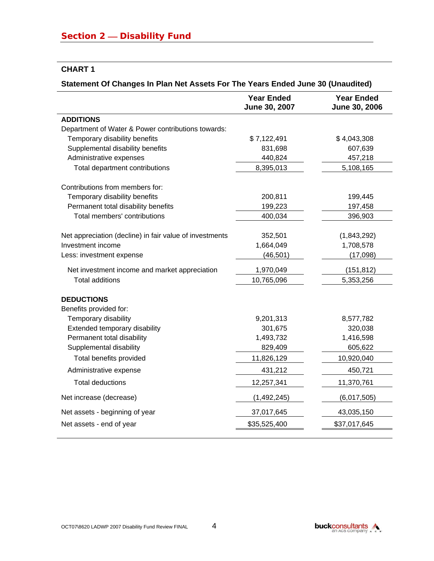#### **CHART 1**

l.

## **Statement Of Changes In Plan Net Assets For The Years Ended June 30 (Unaudited)**

|                                                         | <b>Year Ended</b><br>June 30, 2007 | <b>Year Ended</b><br>June 30, 2006 |
|---------------------------------------------------------|------------------------------------|------------------------------------|
| <b>ADDITIONS</b>                                        |                                    |                                    |
| Department of Water & Power contributions towards:      |                                    |                                    |
| Temporary disability benefits                           | \$7,122,491                        | \$4,043,308                        |
| Supplemental disability benefits                        | 831,698                            | 607,639                            |
| Administrative expenses                                 | 440,824                            | 457,218                            |
| Total department contributions                          | 8,395,013                          | 5,108,165                          |
| Contributions from members for:                         |                                    |                                    |
| Temporary disability benefits                           | 200,811                            | 199,445                            |
| Permanent total disability benefits                     | 199,223                            | 197,458                            |
| Total members' contributions                            | 400,034                            | 396,903                            |
| Net appreciation (decline) in fair value of investments | 352,501                            | (1,843,292)                        |
| Investment income                                       | 1,664,049                          | 1,708,578                          |
| Less: investment expense                                | (46, 501)                          | (17,098)                           |
| Net investment income and market appreciation           | 1,970,049                          | (151, 812)                         |
| <b>Total additions</b>                                  | 10,765,096                         | 5,353,256                          |
| <b>DEDUCTIONS</b>                                       |                                    |                                    |
| Benefits provided for:                                  |                                    |                                    |
| Temporary disability                                    | 9,201,313                          | 8,577,782                          |
| Extended temporary disability                           | 301,675                            | 320,038                            |
| Permanent total disability                              | 1,493,732                          | 1,416,598                          |
| Supplemental disability                                 | 829,409                            | 605,622                            |
| Total benefits provided                                 | 11,826,129                         | 10,920,040                         |
| Administrative expense                                  | 431,212                            | 450,721                            |
| <b>Total deductions</b>                                 | 12,257,341                         | 11,370,761                         |
| Net increase (decrease)                                 | (1,492,245)                        | (6,017,505)                        |
| Net assets - beginning of year                          | 37,017,645                         | 43,035,150                         |
| Net assets - end of year                                | \$35,525,400                       | \$37,017,645                       |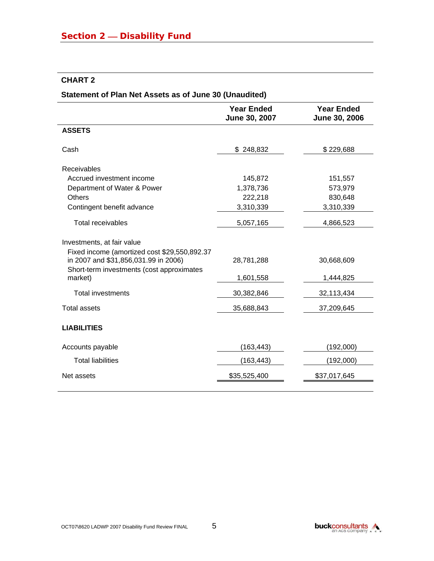# **CHART 2**

l.

## **Statement of Plan Net Assets as of June 30 (Unaudited)**

|                                                                                                                                                                            | <b>Year Ended</b><br>June 30, 2007 | <b>Year Ended</b><br>June 30, 2006 |
|----------------------------------------------------------------------------------------------------------------------------------------------------------------------------|------------------------------------|------------------------------------|
| <b>ASSETS</b>                                                                                                                                                              |                                    |                                    |
| Cash                                                                                                                                                                       | \$248,832                          | \$229,688                          |
| Receivables                                                                                                                                                                |                                    |                                    |
| Accrued investment income                                                                                                                                                  | 145,872                            | 151,557                            |
| Department of Water & Power                                                                                                                                                | 1,378,736                          | 573,979                            |
| <b>Others</b>                                                                                                                                                              | 222,218                            | 830,648                            |
| Contingent benefit advance                                                                                                                                                 | 3,310,339                          | 3,310,339                          |
| <b>Total receivables</b>                                                                                                                                                   | 5,057,165                          | 4,866,523                          |
| Investments, at fair value<br>Fixed income (amortized cost \$29,550,892.37<br>in 2007 and \$31,856,031.99 in 2006)<br>Short-term investments (cost approximates<br>market) | 28,781,288<br>1,601,558            | 30,668,609<br>1,444,825            |
| <b>Total investments</b>                                                                                                                                                   | 30,382,846                         | 32,113,434                         |
| <b>Total assets</b>                                                                                                                                                        | 35,688,843                         | 37,209,645                         |
| <b>LIABILITIES</b>                                                                                                                                                         |                                    |                                    |
| Accounts payable                                                                                                                                                           | (163, 443)                         | (192,000)                          |
| <b>Total liabilities</b>                                                                                                                                                   | (163, 443)                         | (192,000)                          |
| Net assets                                                                                                                                                                 | \$35,525,400                       | \$37,017,645                       |
|                                                                                                                                                                            |                                    |                                    |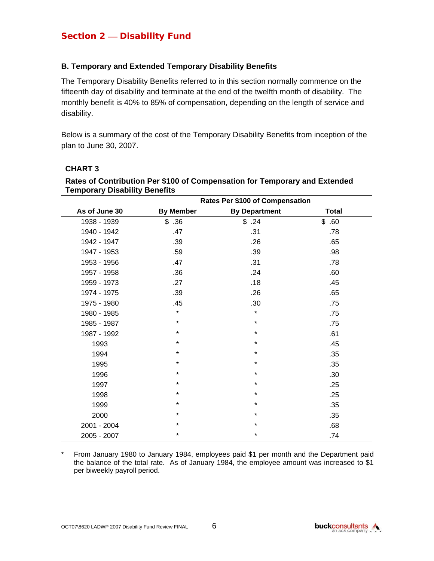**CHART 3** 

#### **B. Temporary and Extended Temporary Disability Benefits**

The Temporary Disability Benefits referred to in this section normally commence on the fifteenth day of disability and terminate at the end of the twelfth month of disability. The monthly benefit is 40% to 85% of compensation, depending on the length of service and disability.

Below is a summary of the cost of the Temporary Disability Benefits from inception of the plan to June 30, 2007.

|               | remporary Disability Defierits<br>Rates Per \$100 of Compensation |                      |              |  |  |  |  |  |
|---------------|-------------------------------------------------------------------|----------------------|--------------|--|--|--|--|--|
| As of June 30 | <b>By Member</b>                                                  | <b>By Department</b> | <b>Total</b> |  |  |  |  |  |
| 1938 - 1939   | \$.36                                                             | \$.24                | \$<br>.60    |  |  |  |  |  |
| 1940 - 1942   | .47                                                               | .31                  | .78          |  |  |  |  |  |
| 1942 - 1947   | .39                                                               | .26                  | .65          |  |  |  |  |  |
| 1947 - 1953   | .59                                                               | .39                  | .98          |  |  |  |  |  |
| 1953 - 1956   | .47                                                               | .31                  | .78          |  |  |  |  |  |
| 1957 - 1958   | .36                                                               | .24                  | .60          |  |  |  |  |  |
| 1959 - 1973   | .27                                                               | .18                  | .45          |  |  |  |  |  |
| 1974 - 1975   | .39                                                               | .26                  | .65          |  |  |  |  |  |
| 1975 - 1980   | .45                                                               | .30                  | .75          |  |  |  |  |  |
| 1980 - 1985   | $\star$                                                           | $\star$              | .75          |  |  |  |  |  |
| 1985 - 1987   | *                                                                 | $\star$              | .75          |  |  |  |  |  |
| 1987 - 1992   | $^{\star}$                                                        | $\star$              | .61          |  |  |  |  |  |
| 1993          | $\star$                                                           | $\star$              | .45          |  |  |  |  |  |
| 1994          | $\star$                                                           | $\star$              | .35          |  |  |  |  |  |
| 1995          | $\star$                                                           | $\star$              | .35          |  |  |  |  |  |
| 1996          | *                                                                 | ¥                    | .30          |  |  |  |  |  |
| 1997          | *                                                                 | $\star$              | .25          |  |  |  |  |  |
| 1998          | $\star$                                                           | $\star$              | .25          |  |  |  |  |  |
| 1999          | $\star$                                                           | $\star$              | .35          |  |  |  |  |  |
| 2000          | $\star$                                                           | $\star$              | .35          |  |  |  |  |  |
| 2001 - 2004   | *                                                                 | $\star$              | .68          |  |  |  |  |  |
| 2005 - 2007   | $\star$                                                           | $\star$              | .74          |  |  |  |  |  |

# **Rates of Contribution Per \$100 of Compensation for Temporary and Extended Temporary Disability Benefits**

\* From January 1980 to January 1984, employees paid \$1 per month and the Department paid the balance of the total rate. As of January 1984, the employee amount was increased to \$1 per biweekly payroll period.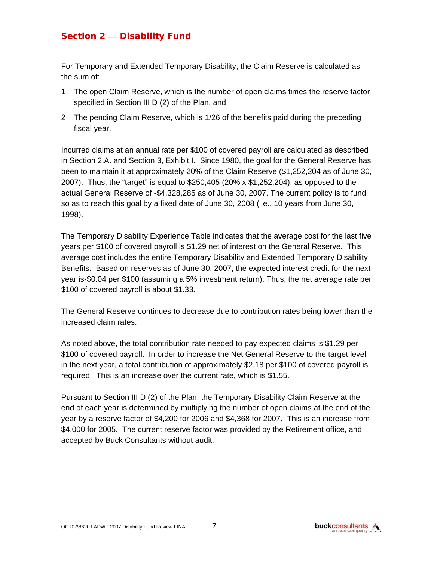For Temporary and Extended Temporary Disability, the Claim Reserve is calculated as the sum of:

- 1 The open Claim Reserve, which is the number of open claims times the reserve factor specified in Section III D (2) of the Plan, and
- 2 The pending Claim Reserve, which is 1/26 of the benefits paid during the preceding fiscal year.

Incurred claims at an annual rate per \$100 of covered payroll are calculated as described in Section 2.A. and Section 3, Exhibit I. Since 1980, the goal for the General Reserve has been to maintain it at approximately 20% of the Claim Reserve (\$1,252,204 as of June 30, 2007). Thus, the "target" is equal to \$250,405 (20% x \$1,252,204), as opposed to the actual General Reserve of -\$4,328,285 as of June 30, 2007. The current policy is to fund so as to reach this goal by a fixed date of June 30, 2008 (i.e., 10 years from June 30, 1998).

The Temporary Disability Experience Table indicates that the average cost for the last five years per \$100 of covered payroll is \$1.29 net of interest on the General Reserve. This average cost includes the entire Temporary Disability and Extended Temporary Disability Benefits. Based on reserves as of June 30, 2007, the expected interest credit for the next year is-\$0.04 per \$100 (assuming a 5% investment return). Thus, the net average rate per \$100 of covered payroll is about \$1.33.

The General Reserve continues to decrease due to contribution rates being lower than the increased claim rates.

As noted above, the total contribution rate needed to pay expected claims is \$1.29 per \$100 of covered payroll. In order to increase the Net General Reserve to the target level in the next year, a total contribution of approximately \$2.18 per \$100 of covered payroll is required. This is an increase over the current rate, which is \$1.55.

Pursuant to Section III D (2) of the Plan, the Temporary Disability Claim Reserve at the end of each year is determined by multiplying the number of open claims at the end of the year by a reserve factor of \$4,200 for 2006 and \$4,368 for 2007. This is an increase from \$4,000 for 2005. The current reserve factor was provided by the Retirement office, and accepted by Buck Consultants without audit.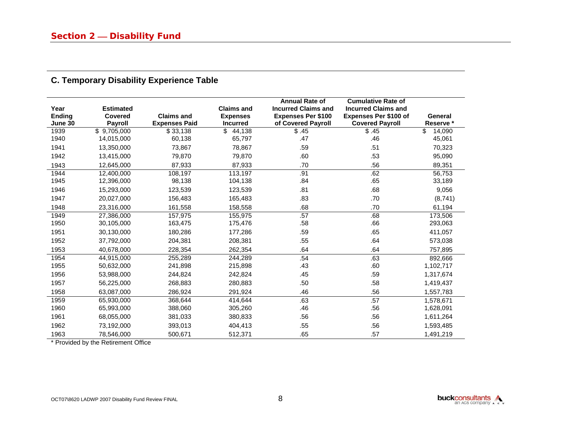| <b>C. Temporary Disability Experience Table</b> |
|-------------------------------------------------|
|                                                 |

| Year<br>Ending<br>June 30 | <b>Estimated</b><br><b>Covered</b><br><b>Payroll</b> | <b>Claims and</b><br><b>Expenses Paid</b> | <b>Claims and</b><br><b>Expenses</b><br><b>Incurred</b> | <b>Annual Rate of</b><br><b>Incurred Claims and</b><br><b>Expenses Per \$100</b><br>of Covered Payroll | <b>Cumulative Rate of</b><br><b>Incurred Claims and</b><br><b>Expenses Per \$100 of</b><br><b>Covered Payroll</b> | General<br>Reserve * |
|---------------------------|------------------------------------------------------|-------------------------------------------|---------------------------------------------------------|--------------------------------------------------------------------------------------------------------|-------------------------------------------------------------------------------------------------------------------|----------------------|
| 1939                      | \$9,705,000                                          | \$33,138                                  | \$<br>44,138                                            | \$.45                                                                                                  | \$.45                                                                                                             | \$<br>14,090         |
| 1940                      | 14,015,000                                           | 60,138                                    | 65,797                                                  | .47                                                                                                    | .46                                                                                                               | 45,061               |
| 1941                      | 13,350,000                                           | 73,867                                    | 78,867                                                  | .59                                                                                                    | .51                                                                                                               | 70,323               |
| 1942                      | 13,415,000                                           | 79,870                                    | 79,870                                                  | .60                                                                                                    | .53                                                                                                               | 95,090               |
| 1943                      | 12,645,000                                           | 87,933                                    | 87,933                                                  | .70                                                                                                    | .56                                                                                                               | 89,351               |
| 1944                      | 12,400,000                                           | 108,197                                   | 113,197                                                 | .91                                                                                                    | .62                                                                                                               | 56,753               |
| 1945                      | 12,396,000                                           | 98,138                                    | 104,138                                                 | .84                                                                                                    | .65                                                                                                               | 33,189               |
| 1946                      | 15,293,000                                           | 123,539                                   | 123,539                                                 | .81                                                                                                    | .68                                                                                                               | 9,056                |
| 1947                      | 20,027,000                                           | 156,483                                   | 165,483                                                 | .83                                                                                                    | .70                                                                                                               | (8,741)              |
| 1948                      | 23,316,000                                           | 161,558                                   | 158,558                                                 | .68                                                                                                    | .70                                                                                                               | 61,194               |
| 1949                      | 27,386,000                                           | 157,975                                   | 155,975                                                 | .57                                                                                                    | .68                                                                                                               | 173,506              |
| 1950                      | 30,105,000                                           | 163,475                                   | 175,476                                                 | .58                                                                                                    | .66                                                                                                               | 293,063              |
| 1951                      | 30,130,000                                           | 180,286                                   | 177,286                                                 | .59                                                                                                    | .65                                                                                                               | 411,057              |
| 1952                      | 37,792,000                                           | 204,381                                   | 208,381                                                 | .55                                                                                                    | .64                                                                                                               | 573,038              |
| 1953                      | 40,678,000                                           | 228,354                                   | 262,354                                                 | .64                                                                                                    | .64                                                                                                               | 757,895              |
| 1954                      | 44,915,000                                           | 255,289                                   | 244,289                                                 | .54                                                                                                    | .63                                                                                                               | 892,666              |
| 1955                      | 50,632,000                                           | 241,898                                   | 215,898                                                 | .43                                                                                                    | .60                                                                                                               | 1,102,717            |
| 1956                      | 53,988,000                                           | 244,824                                   | 242,824                                                 | .45                                                                                                    | .59                                                                                                               | 1,317,674            |
| 1957                      | 56,225,000                                           | 268,883                                   | 280,883                                                 | .50                                                                                                    | .58                                                                                                               | 1,419,437            |
| 1958                      | 63,087,000                                           | 286,924                                   | 291,924                                                 | .46                                                                                                    | .56                                                                                                               | 1,557,783            |
| 1959                      | 65,930,000                                           | 368.644                                   | 414.644                                                 | .63                                                                                                    | .57                                                                                                               | 1,578,671            |
| 1960                      | 65,993,000                                           | 388,060                                   | 305,260                                                 | .46                                                                                                    | .56                                                                                                               | 1,628,091            |
| 1961                      | 68,055,000                                           | 381,033                                   | 380,833                                                 | .56                                                                                                    | .56                                                                                                               | 1,611,264            |
| 1962                      | 73,192,000                                           | 393,013                                   | 404,413                                                 | .55                                                                                                    | .56                                                                                                               | 1,593,485            |
| 1963                      | 78,546,000                                           | 500,671                                   | 512.371                                                 | .65                                                                                                    | .57                                                                                                               | 1,491,219            |

\* Provided by the Retirement Office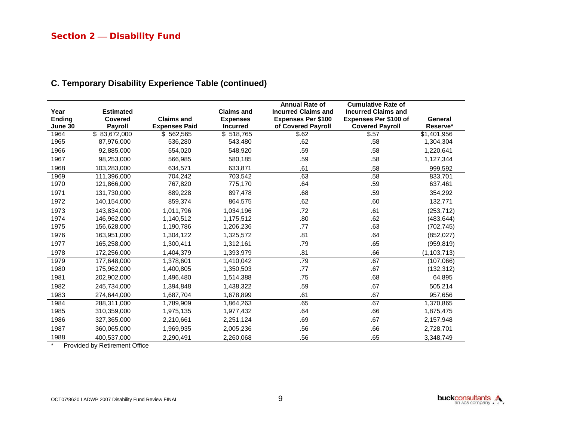| Year<br>Ending<br>June 30 | <b>Estimated</b><br>Covered<br><b>Payroll</b> | <b>Claims and</b><br><b>Expenses Paid</b> | <b>Claims and</b><br><b>Expenses</b><br><b>Incurred</b> | <b>Annual Rate of</b><br><b>Incurred Claims and</b><br><b>Expenses Per \$100</b><br>of Covered Payroll | <b>Cumulative Rate of</b><br><b>Incurred Claims and</b><br><b>Expenses Per \$100 of</b><br><b>Covered Payroll</b> | General<br>Reserve* |
|---------------------------|-----------------------------------------------|-------------------------------------------|---------------------------------------------------------|--------------------------------------------------------------------------------------------------------|-------------------------------------------------------------------------------------------------------------------|---------------------|
| 1964                      | \$83,672,000                                  | \$562,565                                 | \$518,765                                               | \$.62                                                                                                  | \$.57                                                                                                             | \$1,401,956         |
| 1965                      | 87,976,000                                    | 536,280                                   | 543,480                                                 | .62                                                                                                    | .58                                                                                                               | 1,304,304           |
| 1966                      | 92,885,000                                    | 554,020                                   | 548,920                                                 | .59                                                                                                    | .58                                                                                                               | 1,220,641           |
| 1967                      | 98,253,000                                    | 566,985                                   | 580,185                                                 | .59                                                                                                    | .58                                                                                                               | 1,127,344           |
| 1968                      | 103.283.000                                   | 634.571                                   | 633.871                                                 | .61                                                                                                    | .58                                                                                                               | 999,592             |
| 1969                      | 111,396,000                                   | 704,242                                   | 703,542                                                 | .63                                                                                                    | .58                                                                                                               | 833,701             |
| 1970                      | 121,866,000                                   | 767,820                                   | 775,170                                                 | .64                                                                                                    | .59                                                                                                               | 637,461             |
| 1971                      | 131,730,000                                   | 889,228                                   | 897,478                                                 | .68                                                                                                    | .59                                                                                                               | 354,292             |
| 1972                      | 140,154,000                                   | 859,374                                   | 864,575                                                 | .62                                                                                                    | .60                                                                                                               | 132,771             |
| 1973                      | 143,834,000                                   | 1,011,796                                 | 1,034,196                                               | .72                                                                                                    | .61                                                                                                               | (253, 712)          |
| 1974                      | 146,962,000                                   | 1,140,512                                 | 1,175,512                                               | .80                                                                                                    | .62                                                                                                               | (483, 644)          |
| 1975                      | 156,628,000                                   | 1,190,786                                 | 1,206,236                                               | .77                                                                                                    | .63                                                                                                               | (702, 745)          |
| 1976                      | 163,951,000                                   | 1,304,122                                 | 1,325,572                                               | .81                                                                                                    | .64                                                                                                               | (852, 027)          |
| 1977                      | 165,258,000                                   | 1,300,411                                 | 1,312,161                                               | .79                                                                                                    | .65                                                                                                               | (959, 819)          |
| 1978                      | 172,256,000                                   | 1,404,379                                 | 1,393,979                                               | .81                                                                                                    | .66                                                                                                               | (1, 103, 713)       |
| 1979                      | 177,648,000                                   | 1,378,601                                 | 1,410,042                                               | .79                                                                                                    | .67                                                                                                               | (107,066)           |
| 1980                      | 175,962,000                                   | 1,400,805                                 | 1,350,503                                               | .77                                                                                                    | .67                                                                                                               | (132, 312)          |
| 1981                      | 202,902,000                                   | 1,496,480                                 | 1,514,388                                               | .75                                                                                                    | .68                                                                                                               | 64,895              |
| 1982                      | 245,734,000                                   | 1,394,848                                 | 1,438,322                                               | .59                                                                                                    | .67                                                                                                               | 505,214             |
| 1983                      | 274,644,000                                   | 1,687,704                                 | 1,678,899                                               | .61                                                                                                    | .67                                                                                                               | 957,656             |
| 1984                      | 288,311,000                                   | 1,789,909                                 | 1,864,263                                               | .65                                                                                                    | .67                                                                                                               | 1,370,865           |
| 1985                      | 310,359,000                                   | 1,975,135                                 | 1,977,432                                               | .64                                                                                                    | .66                                                                                                               | 1,875,475           |
| 1986                      | 327,365,000                                   | 2,210,661                                 | 2,251,124                                               | .69                                                                                                    | .67                                                                                                               | 2,157,948           |
| 1987                      | 360,065,000                                   | 1,969,935                                 | 2,005,236                                               | .56                                                                                                    | .66                                                                                                               | 2,728,701           |
| 1988                      | 400.537.000                                   | 2.290.491                                 | 2.260.068                                               | .56                                                                                                    | .65                                                                                                               | 3.348.749           |

# **C. Temporary Disability Experience Table (continued)**

\* Provided by Retirement Office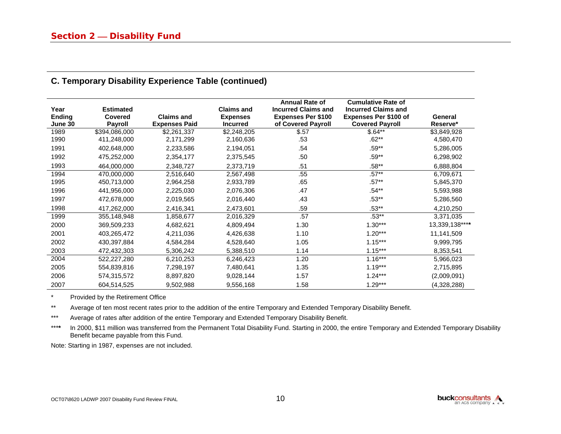| Year<br><b>Ending</b><br>June 30 | <b>Estimated</b><br><b>Covered</b><br><b>Payroll</b> | <b>Claims and</b><br><b>Expenses Paid</b> | <b>Claims and</b><br><b>Expenses</b><br><b>Incurred</b> | <b>Annual Rate of</b><br><b>Incurred Claims and</b><br><b>Expenses Per \$100</b><br>of Covered Payroll | <b>Cumulative Rate of</b><br><b>Incurred Claims and</b><br><b>Expenses Per \$100 of</b><br><b>Covered Payroll</b> | General<br>Reserve* |
|----------------------------------|------------------------------------------------------|-------------------------------------------|---------------------------------------------------------|--------------------------------------------------------------------------------------------------------|-------------------------------------------------------------------------------------------------------------------|---------------------|
| 1989                             | \$394,086,000                                        | \$2,261,337                               | \$2,248,205                                             | \$.57                                                                                                  | $$.64**$                                                                                                          | \$3,849,928         |
| 1990                             | 411,248,000                                          | 2,171,299                                 | 2,160,636                                               | .53                                                                                                    | $.62**$                                                                                                           | 4,580,470           |
| 1991                             | 402,648,000                                          | 2,233,586                                 | 2,194,051                                               | .54                                                                                                    | $.59**$                                                                                                           | 5,286,005           |
| 1992                             | 475,252,000                                          | 2,354,177                                 | 2,375,545                                               | .50                                                                                                    | $.59**$                                                                                                           | 6,298,902           |
| 1993                             | 464,000,000                                          | 2,348,727                                 | 2,373,719                                               | .51                                                                                                    | $.58**$                                                                                                           | 6,888,804           |
| 1994                             | 470,000,000                                          | 2,516,640                                 | 2,567,498                                               | .55                                                                                                    | $.57**$                                                                                                           | 6,709,671           |
| 1995                             | 450,713,000                                          | 2,964,258                                 | 2,933,789                                               | .65                                                                                                    | $.57**$                                                                                                           | 5,845,370           |
| 1996                             | 441,956,000                                          | 2,225,030                                 | 2,076,306                                               | .47                                                                                                    | .54**                                                                                                             | 5,593,988           |
| 1997                             | 472,678,000                                          | 2,019,565                                 | 2,016,440                                               | .43                                                                                                    | $.53***$                                                                                                          | 5,286,560           |
| 1998                             | 417,262,000                                          | 2,416,341                                 | 2,473,601                                               | .59                                                                                                    | $.53***$                                                                                                          | 4,210,250           |
| 1999                             | 355,148,948                                          | 1,858,677                                 | 2,016,329                                               | .57                                                                                                    | $.53**$                                                                                                           | 3,371,035           |
| 2000                             | 369,509,233                                          | 4,682,621                                 | 4,809,494                                               | 1.30                                                                                                   | $1.30***$                                                                                                         | 13,339,138****      |
| 2001                             | 403,265,472                                          | 4,211,036                                 | 4,426,638                                               | 1.10                                                                                                   | $1.20***$                                                                                                         | 11,141,509          |
| 2002                             | 430,397,884                                          | 4,584,284                                 | 4,528,640                                               | 1.05                                                                                                   | $1.15***$                                                                                                         | 9,999,795           |
| 2003                             | 472,432,303                                          | 5,306,242                                 | 5,388,510                                               | 1.14                                                                                                   | $1.15***$                                                                                                         | 8,353,541           |
| 2004                             | 522,227,280                                          | 6,210,253                                 | 6,246,423                                               | 1.20                                                                                                   | $1.16***$                                                                                                         | 5,966,023           |
| 2005                             | 554,839,816                                          | 7,298,197                                 | 7,480,641                                               | 1.35                                                                                                   | $1.19***$                                                                                                         | 2,715,895           |
| 2006                             | 574,315,572                                          | 8,897,820                                 | 9,028,144                                               | 1.57                                                                                                   | $1.24***$                                                                                                         | (2,009,091)         |
| 2007                             | 604,514,525                                          | 9,502,988                                 | 9,556,168                                               | 1.58                                                                                                   | $1.29***$                                                                                                         | (4,328,288)         |

#### **C. Temporary Disability Experience Table (continued)**

\* Provided by the Retirement Office

\*\* Average of ten most recent rates prior to the addition of the entire Temporary and Extended Temporary Disability Benefit.

\*\*\* Average of rates after addition of the entire Temporary and Extended Temporary Disability Benefit.

\*\*\*\* In 2000, \$11 million was transferred from the Permanent Total Disability Fund. Starting in 2000, the entire Temporary and Extended Temporary Disability Benefit became payable from this Fund.

Note: Starting in 1987, expenses are not included.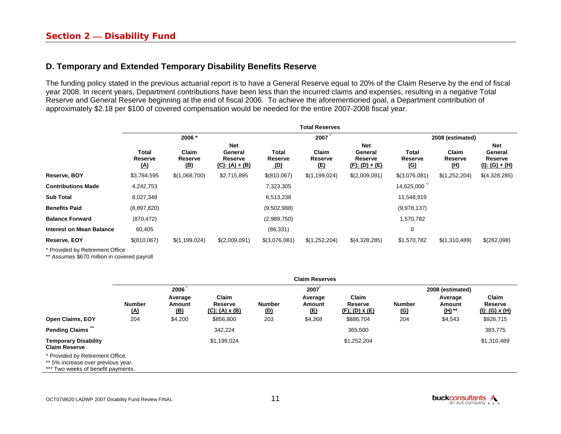#### **D. Temporary and Extended Temporary Disability Benefits Reserve**

The funding policy stated in the previous actuarial report is to have a General Reserve equal to 20% of the Claim Reserve by the end of fiscal year 2008. In recent years, Department contributions have been less than the incurred claims and expenses, resulting in a negative Total Reserve and General Reserve beginning at the end of fiscal 2006. To achieve the aforementioned goal, a Department contribution of approximately \$2.18 per \$100 of covered compensation would be needed for the entire 2007-2008 fiscal year.

|                                 | <b>Total Reserves</b>                 |                                |                                               |                                |                                |                                                       |                                |                                |                                               |  |
|---------------------------------|---------------------------------------|--------------------------------|-----------------------------------------------|--------------------------------|--------------------------------|-------------------------------------------------------|--------------------------------|--------------------------------|-----------------------------------------------|--|
|                                 |                                       | 2006 *                         |                                               |                                | 2007                           |                                                       |                                | 2008 (estimated)               |                                               |  |
|                                 | <b>Total</b><br>Reserve<br><u>(A)</u> | Claim<br>Reserve<br><u>(B)</u> | Net<br>General<br>Reserve<br>$(C): (A) + (B)$ | Total<br>Reserve<br><u>(D)</u> | Claim<br>Reserve<br><u>(E)</u> | <b>Net</b><br>General<br>Reserve<br>$(F)$ : (D) + (E) | Total<br>Reserve<br><u>(G)</u> | Claim<br>Reserve<br><u>(H)</u> | Net<br>General<br>Reserve<br>(I): $(G) + (H)$ |  |
| Reserve, BOY                    | \$3,784,595                           | \$(1,068,700)                  | \$2,715,895                                   | \$(810,067)                    | \$(1,199,024)                  | \$(2,009,091)                                         | \$(3,076,081)                  | \$(1,252,204)                  | \$(4,328,285)                                 |  |
| <b>Contributions Made</b>       | 4,242,753                             |                                |                                               | 7,323,305                      |                                |                                                       | 14,625,000                     |                                |                                               |  |
| <b>Sub Total</b>                | 8,027,348                             |                                |                                               | 6,513,238                      |                                |                                                       | 11,548,919                     |                                |                                               |  |
| <b>Benefits Paid</b>            | (8,897,820)                           |                                |                                               | (9,502,988)                    |                                |                                                       | (9,978,137)                    |                                |                                               |  |
| <b>Balance Forward</b>          | (870, 472)                            |                                |                                               | (2,989,750)                    |                                |                                                       | 1,570,782                      |                                |                                               |  |
| <b>Interest on Mean Balance</b> | 60,405                                |                                |                                               | (86, 331)                      |                                |                                                       | 0                              |                                |                                               |  |
| Reserve, EOY                    | \$ (810,067)                          | \$(1,199,024)                  | \$(2,009,091)                                 | \$(3,076,081)                  | \$(1,252,204)                  | \$(4,328,285)                                         | \$1,570,782                    | \$(1,310,489)                  | \$(262,098)                                   |  |
|                                 |                                       |                                |                                               |                                |                                |                                                       |                                |                                |                                               |  |

\* Provided by Retirement Office

\*\* Assumes \$670 million in covered payroll

|                                                                                                              | <b>Claim Reserves</b> |                                 |                                           |                             |                                 |                                       |                             |                                    |                                     |
|--------------------------------------------------------------------------------------------------------------|-----------------------|---------------------------------|-------------------------------------------|-----------------------------|---------------------------------|---------------------------------------|-----------------------------|------------------------------------|-------------------------------------|
|                                                                                                              |                       | 2006                            |                                           | 2007                        |                                 |                                       | 2008 (estimated)            |                                    |                                     |
|                                                                                                              | <b>Number</b><br>(A)  | Average<br>Amount<br><u>(B)</u> | Claim<br>Reserve<br>$(C): (A) \times (B)$ | <b>Number</b><br><u>(D)</u> | Average<br>Amount<br><u>(E)</u> | Claim<br>Reserve<br>$(F)$ ; (D) x (E) | <b>Number</b><br><u>(G)</u> | Average<br><b>Amount</b><br>(H) ** | Claim<br>Reserve<br>(I): (G) $x(H)$ |
| <b>Open Claims, EOY</b>                                                                                      | 204                   | \$4,200                         | \$856,800                                 | 203                         | \$4,368                         | \$886,704                             | 204                         | \$4,543                            | \$926,715                           |
| <b>Pending Claims</b>                                                                                        |                       |                                 | 342,224                                   |                             |                                 | 365,500                               |                             |                                    | 383,775                             |
| <b>Temporary Disability</b><br><b>Claim Reserve</b>                                                          |                       |                                 | \$1,199,024                               |                             |                                 | \$1,252,204                           |                             |                                    | \$1,310,489                         |
| * Provided by Retirement Office.<br>** 5% increase over previous year.<br>*** Two weeks of benefit payments. |                       |                                 |                                           |                             |                                 |                                       |                             |                                    |                                     |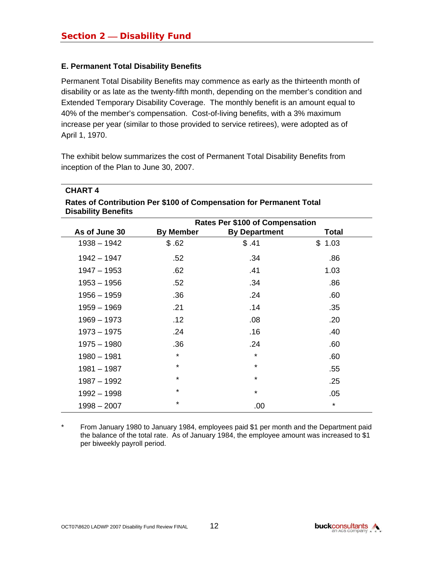#### **E. Permanent Total Disability Benefits**

**CHART 4** 

Permanent Total Disability Benefits may commence as early as the thirteenth month of disability or as late as the twenty-fifth month, depending on the member's condition and Extended Temporary Disability Coverage. The monthly benefit is an amount equal to 40% of the member's compensation. Cost-of-living benefits, with a 3% maximum increase per year (similar to those provided to service retirees), were adopted as of April 1, 1970.

The exhibit below summarizes the cost of Permanent Total Disability Benefits from inception of the Plan to June 30, 2007.

| <b>CHARI4</b>                                                                                     |                  |                                        |              |  |  |  |  |  |
|---------------------------------------------------------------------------------------------------|------------------|----------------------------------------|--------------|--|--|--|--|--|
| Rates of Contribution Per \$100 of Compensation for Permanent Total<br><b>Disability Benefits</b> |                  |                                        |              |  |  |  |  |  |
|                                                                                                   |                  | <b>Rates Per \$100 of Compensation</b> |              |  |  |  |  |  |
| As of June 30                                                                                     | <b>By Member</b> | <b>By Department</b>                   | <b>Total</b> |  |  |  |  |  |
| $1938 - 1942$                                                                                     | \$.62            | \$.41                                  | \$1.03       |  |  |  |  |  |
| $1942 - 1947$                                                                                     | .52              | .34                                    | .86          |  |  |  |  |  |
| $1947 - 1953$                                                                                     | .62              | .41                                    | 1.03         |  |  |  |  |  |
| $1953 - 1956$                                                                                     | .52              | .34                                    | .86          |  |  |  |  |  |
| $1956 - 1959$                                                                                     | .36              | .24                                    | .60          |  |  |  |  |  |
| $1959 - 1969$                                                                                     | .21              | .14                                    | .35          |  |  |  |  |  |
| $1969 - 1973$                                                                                     | .12              | .08                                    | .20          |  |  |  |  |  |
| $1973 - 1975$                                                                                     | .24              | .16                                    | .40          |  |  |  |  |  |
| $1975 - 1980$                                                                                     | .36              | .24                                    | .60          |  |  |  |  |  |
| $1980 - 1981$                                                                                     | *                | $\star$                                | .60          |  |  |  |  |  |
| $1981 - 1987$                                                                                     | ¥                | *                                      | .55          |  |  |  |  |  |
| $1987 - 1992$                                                                                     | *                | *                                      | .25          |  |  |  |  |  |
| 1992 - 1998                                                                                       | ¥                | *                                      | .05          |  |  |  |  |  |
| $1998 - 2007$                                                                                     | *                | .00                                    | $\star$      |  |  |  |  |  |

\* From January 1980 to January 1984, employees paid \$1 per month and the Department paid the balance of the total rate. As of January 1984, the employee amount was increased to \$1 per biweekly payroll period.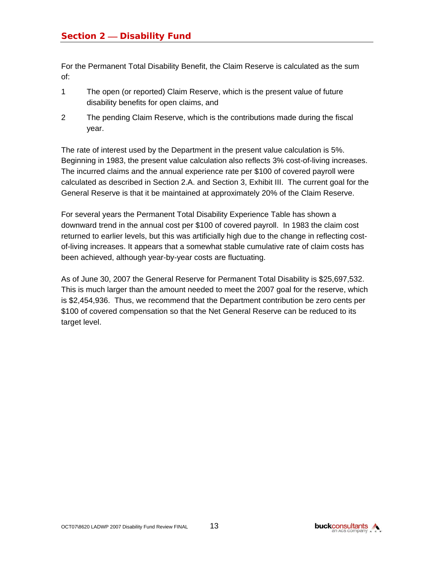For the Permanent Total Disability Benefit, the Claim Reserve is calculated as the sum of:

- 1 The open (or reported) Claim Reserve, which is the present value of future disability benefits for open claims, and
- 2 The pending Claim Reserve, which is the contributions made during the fiscal year.

The rate of interest used by the Department in the present value calculation is 5%. Beginning in 1983, the present value calculation also reflects 3% cost-of-living increases. The incurred claims and the annual experience rate per \$100 of covered payroll were calculated as described in Section 2.A. and Section 3, Exhibit III. The current goal for the General Reserve is that it be maintained at approximately 20% of the Claim Reserve.

For several years the Permanent Total Disability Experience Table has shown a downward trend in the annual cost per \$100 of covered payroll. In 1983 the claim cost returned to earlier levels, but this was artificially high due to the change in reflecting costof-living increases. It appears that a somewhat stable cumulative rate of claim costs has been achieved, although year-by-year costs are fluctuating.

As of June 30, 2007 the General Reserve for Permanent Total Disability is \$25,697,532. This is much larger than the amount needed to meet the 2007 goal for the reserve, which is \$2,454,936. Thus, we recommend that the Department contribution be zero cents per \$100 of covered compensation so that the Net General Reserve can be reduced to its target level.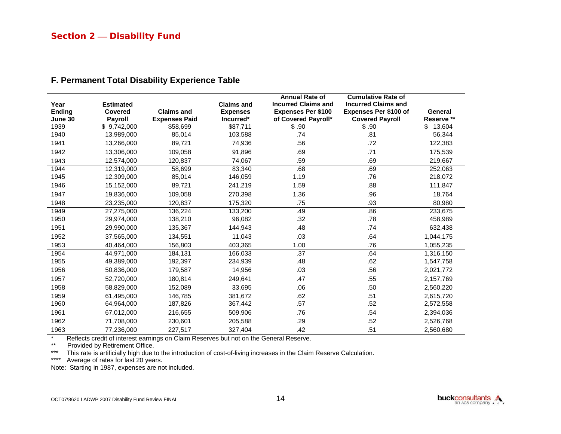| Year<br>Ending<br>June 30 | <b>Estimated</b><br><b>Covered</b><br><b>Payroll</b> | <b>Claims and</b><br><b>Expenses Paid</b> | <b>Claims and</b><br><b>Expenses</b><br>Incurred* | <b>Annual Rate of</b><br><b>Incurred Claims and</b><br><b>Expenses Per \$100</b><br>of Covered Payroll* | <b>Cumulative Rate of</b><br><b>Incurred Claims and</b><br><b>Expenses Per \$100 of</b><br><b>Covered Payroll</b> | General<br>Reserve ** |
|---------------------------|------------------------------------------------------|-------------------------------------------|---------------------------------------------------|---------------------------------------------------------------------------------------------------------|-------------------------------------------------------------------------------------------------------------------|-----------------------|
| 1939                      | \$9,742,000                                          | \$58,699                                  | \$87,711                                          | $\overline{\$}$ .90                                                                                     | \$.90                                                                                                             | 13,604<br>\$          |
| 1940                      | 13,989,000                                           | 85,014                                    | 103,588                                           | .74                                                                                                     | .81                                                                                                               | 56,344                |
| 1941                      | 13,266,000                                           | 89,721                                    | 74,936                                            | .56                                                                                                     | .72                                                                                                               | 122,383               |
| 1942                      | 13,306,000                                           | 109,058                                   | 91,896                                            | .69                                                                                                     | .71                                                                                                               | 175,539               |
| 1943                      | 12,574,000                                           | 120,837                                   | 74,067                                            | .59                                                                                                     | .69                                                                                                               | 219,667               |
| 1944                      | 12,319,000                                           | 58,699                                    | 83,340                                            | .68                                                                                                     | .69                                                                                                               | 252,063               |
| 1945                      | 12,309,000                                           | 85,014                                    | 146,059                                           | 1.19                                                                                                    | .76                                                                                                               | 218,072               |
| 1946                      | 15,152,000                                           | 89,721                                    | 241,219                                           | 1.59                                                                                                    | .88                                                                                                               | 111,847               |
| 1947                      | 19,836,000                                           | 109,058                                   | 270,398                                           | 1.36                                                                                                    | .96                                                                                                               | 18,764                |
| 1948                      | 23,235,000                                           | 120,837                                   | 175,320                                           | .75                                                                                                     | .93                                                                                                               | 80,980                |
| 1949                      | 27,275,000                                           | 136,224                                   | 133,200                                           | .49                                                                                                     | .86                                                                                                               | 233,675               |
| 1950                      | 29,974,000                                           | 138,210                                   | 96,082                                            | .32                                                                                                     | .78                                                                                                               | 458,989               |
| 1951                      | 29,990,000                                           | 135,367                                   | 144,943                                           | .48                                                                                                     | .74                                                                                                               | 632,438               |
| 1952                      | 37,565,000                                           | 134,551                                   | 11,043                                            | .03                                                                                                     | .64                                                                                                               | 1,044,175             |
| 1953                      | 40.464.000                                           | 156,803                                   | 403,365                                           | 1.00                                                                                                    | .76                                                                                                               | 1,055,235             |
| 1954                      | 44,971,000                                           | 184,131                                   | 166,033                                           | .37                                                                                                     | .64                                                                                                               | 1,316,150             |
| 1955                      | 49,389,000                                           | 192,397                                   | 234,939                                           | .48                                                                                                     | .62                                                                                                               | 1,547,758             |
| 1956                      | 50,836,000                                           | 179,587                                   | 14,956                                            | .03                                                                                                     | .56                                                                                                               | 2,021,772             |
| 1957                      | 52,720,000                                           | 180,814                                   | 249,641                                           | .47                                                                                                     | .55                                                                                                               | 2,157,769             |
| 1958                      | 58,829,000                                           | 152,089                                   | 33,695                                            | .06                                                                                                     | .50                                                                                                               | 2,560,220             |
| 1959                      | 61,495,000                                           | 146.785                                   | 381,672                                           | .62                                                                                                     | .51                                                                                                               | 2,615,720             |
| 1960                      | 64,964,000                                           | 187,826                                   | 367,442                                           | .57                                                                                                     | .52                                                                                                               | 2,572,558             |
| 1961                      | 67,012,000                                           | 216,655                                   | 509,906                                           | .76                                                                                                     | .54                                                                                                               | 2,394,036             |
| 1962                      | 71,708,000                                           | 230,601                                   | 205,588                                           | .29                                                                                                     | .52                                                                                                               | 2,526,768             |
| 1963                      | 77.236.000                                           | 227,517                                   | 327,404                                           | .42                                                                                                     | .51                                                                                                               | 2.560.680             |

#### **F. Permanent Total Disability Experience Table**

\* Reflects credit of interest earnings on Claim Reserves but not on the General Reserve.<br>\*\* Provided by Retirement Office

\*\* Provided by Retirement Office.

\*\*\* This rate is artificially high due to the introduction of cost-of-living increases in the Claim Reserve Calculation.

\*\*\*\* Average of rates for last 20 years.

Note: Starting in 1987, expenses are not included.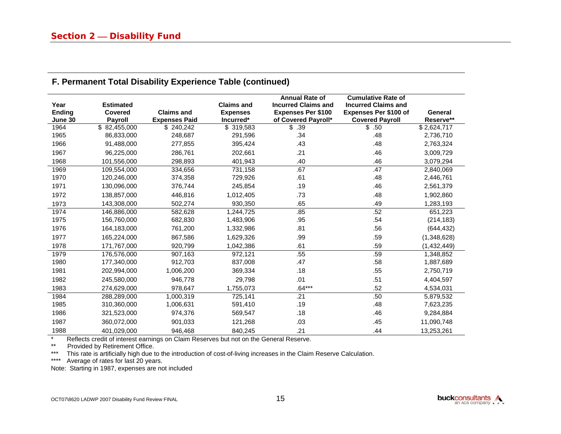| Year<br><b>Ending</b><br>June 30 | <b>Estimated</b><br>Covered<br><b>Payroll</b> | <b>Claims and</b><br><b>Expenses Paid</b> | <b>Claims and</b><br><b>Expenses</b><br>Incurred* | <b>Annual Rate of</b><br><b>Incurred Claims and</b><br><b>Expenses Per \$100</b><br>of Covered Payroll* | <b>Cumulative Rate of</b><br><b>Incurred Claims and</b><br><b>Expenses Per \$100 of</b><br><b>Covered Payroll</b> | <b>General</b><br>Reserve** |
|----------------------------------|-----------------------------------------------|-------------------------------------------|---------------------------------------------------|---------------------------------------------------------------------------------------------------------|-------------------------------------------------------------------------------------------------------------------|-----------------------------|
| 1964                             | \$82,455,000                                  | \$240,242                                 | \$319,583                                         | \$<br>.39                                                                                               | \$.50                                                                                                             | $\sqrt{$2,624,717}$         |
| 1965                             | 86,833,000                                    | 248,687                                   | 291,596                                           | .34                                                                                                     | .48                                                                                                               | 2,736,710                   |
| 1966                             | 91,488,000                                    | 277,855                                   | 395,424                                           | .43                                                                                                     | .48                                                                                                               | 2,763,324                   |
| 1967                             | 96,225,000                                    | 286,761                                   | 202,661                                           | .21                                                                                                     | .46                                                                                                               | 3,009,729                   |
| 1968                             | 101,556,000                                   | 298,893                                   | 401,943                                           | .40                                                                                                     | .46                                                                                                               | 3,079,294                   |
| 1969                             | 109,554,000                                   | 334,656                                   | 731,158                                           | .67                                                                                                     | .47                                                                                                               | 2,840,069                   |
| 1970                             | 120,246,000                                   | 374,358                                   | 729,926                                           | .61                                                                                                     | .48                                                                                                               | 2,446,761                   |
| 1971                             | 130,096,000                                   | 376,744                                   | 245,854                                           | .19                                                                                                     | .46                                                                                                               | 2,561,379                   |
| 1972                             | 138,857,000                                   | 446,816                                   | 1,012,405                                         | .73                                                                                                     | .48                                                                                                               | 1,902,860                   |
| 1973                             | 143,308,000                                   | 502,274                                   | 930,350                                           | .65                                                                                                     | .49                                                                                                               | 1,283,193                   |
| 1974                             | 146,886,000                                   | 582,628                                   | 1,244,725                                         | .85                                                                                                     | .52                                                                                                               | 651,223                     |
| 1975                             | 156,760,000                                   | 682,830                                   | 1,483,906                                         | .95                                                                                                     | .54                                                                                                               | (214, 183)                  |
| 1976                             | 164,183,000                                   | 761,200                                   | 1,332,986                                         | .81                                                                                                     | .56                                                                                                               | (644, 432)                  |
| 1977                             | 165,224,000                                   | 867,586                                   | 1,629,326                                         | .99                                                                                                     | .59                                                                                                               | (1,348,628)                 |
| 1978                             | 171,767,000                                   | 920,799                                   | 1,042,386                                         | .61                                                                                                     | .59                                                                                                               | (1,432,449)                 |
| 1979                             | 176,576,000                                   | 907.163                                   | 972,121                                           | .55                                                                                                     | .59                                                                                                               | 1,348,852                   |
| 1980                             | 177,340,000                                   | 912,703                                   | 837,008                                           | .47                                                                                                     | .58                                                                                                               | 1,887,689                   |
| 1981                             | 202,994,000                                   | 1,006,200                                 | 369,334                                           | .18                                                                                                     | .55                                                                                                               | 2,750,719                   |
| 1982                             | 245,580,000                                   | 946,778                                   | 29,798                                            | .01                                                                                                     | .51                                                                                                               | 4,404,597                   |
| 1983                             | 274,629,000                                   | 978,647                                   | 1,755,073                                         | $.64***$                                                                                                | .52                                                                                                               | 4,534,031                   |
| 1984                             | 288,289,000                                   | 1,000,319                                 | 725,141                                           | .21                                                                                                     | .50                                                                                                               | 5,879,532                   |
| 1985                             | 310,360,000                                   | 1,006,631                                 | 591,410                                           | .19                                                                                                     | .48                                                                                                               | 7,623,235                   |
| 1986                             | 321,523,000                                   | 974,376                                   | 569,547                                           | .18                                                                                                     | .46                                                                                                               | 9,284,884                   |
| 1987                             | 360,072,000                                   | 901,033                                   | 121,268                                           | .03                                                                                                     | .45                                                                                                               | 11,090,748                  |
| 1988                             | 401,029,000                                   | 946,468                                   | 840.245                                           | .21                                                                                                     | .44                                                                                                               | 13,253,261                  |

### **F. Permanent Total Disability Experience Table (continued)**

\* Reflects credit of interest earnings on Claim Reserves but not on the General Reserve.<br>\*\* Provided by Retirement Office

\*\* Provided by Retirement Office.<br>\*\*\* This rate is artificially high due to

This rate is artificially high due to the introduction of cost-of-living increases in the Claim Reserve Calculation.

\*\*\*\* Average of rates for last 20 years.

Note: Starting in 1987, expenses are not included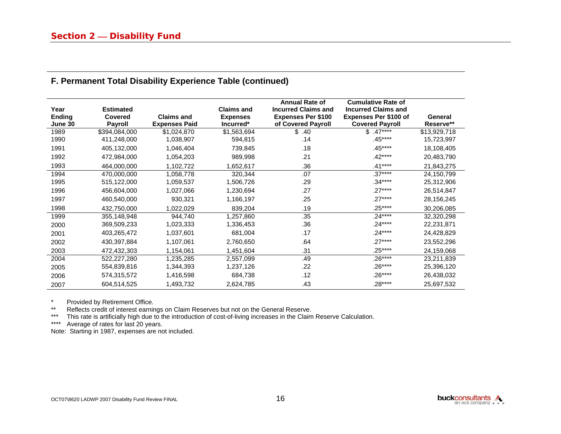| Year<br>Ending<br>June 30 | <b>Estimated</b><br>Covered<br><b>Payroll</b> | <b>Claims and</b><br><b>Expenses Paid</b> | <b>Claims and</b><br><b>Expenses</b><br>Incurred* | <b>Annual Rate of</b><br><b>Incurred Claims and</b><br><b>Expenses Per \$100</b><br>of Covered Payroll | <b>Cumulative Rate of</b><br><b>Incurred Claims and</b><br><b>Expenses Per \$100 of</b><br><b>Covered Payroll</b> | General<br>Reserve** |
|---------------------------|-----------------------------------------------|-------------------------------------------|---------------------------------------------------|--------------------------------------------------------------------------------------------------------|-------------------------------------------------------------------------------------------------------------------|----------------------|
| 1989                      | \$394,084,000                                 | \$1,024,870                               | \$1,563,694                                       | .40<br>\$                                                                                              | $.47***$<br>\$                                                                                                    | \$13,929,718         |
| 1990                      | 411,248,000                                   | 1,038,907                                 | 594,815                                           | .14                                                                                                    | .45****                                                                                                           | 15,723,997           |
| 1991                      | 405,132,000                                   | 1,046,404                                 | 739,845                                           | .18                                                                                                    | .45****                                                                                                           | 18,108,405           |
| 1992                      | 472,984,000                                   | 1,054,203                                 | 989,998                                           | .21                                                                                                    | $.42***$                                                                                                          | 20,483,790           |
| 1993                      | 464,000,000                                   | 1,102,722                                 | 1,652,617                                         | .36                                                                                                    | $.41***$                                                                                                          | 21,843,275           |
| 1994                      | 470,000,000                                   | 1,058,778                                 | 320,344                                           | .07                                                                                                    | $.37***$                                                                                                          | 24,150,799           |
| 1995                      | 515,122,000                                   | 1,059,537                                 | 1,506,726                                         | .29                                                                                                    | .34****                                                                                                           | 25,312,906           |
| 1996                      | 456,604,000                                   | 1,027,066                                 | 1,230,694                                         | .27                                                                                                    | $.27***$                                                                                                          | 26,514,847           |
| 1997                      | 460,540,000                                   | 930,321                                   | 1,166,197                                         | .25                                                                                                    | $.27***$                                                                                                          | 28,156,245           |
| 1998                      | 432,750,000                                   | 1,022,029                                 | 839,204                                           | .19                                                                                                    | $.25***$                                                                                                          | 30,206,085           |
| 1999                      | 355,148,948                                   | 944,740                                   | 1,257,860                                         | .35                                                                                                    | $.24***$                                                                                                          | 32,320,298           |
| 2000                      | 369,509,233                                   | 1,023,333                                 | 1,336,453                                         | .36                                                                                                    | $.24***$                                                                                                          | 22,231,871           |
| 2001                      | 403,265,472                                   | 1,037,601                                 | 681,004                                           | .17                                                                                                    | $.24***$                                                                                                          | 24,428,829           |
| 2002                      | 430,397,884                                   | 1,107,061                                 | 2,760,650                                         | .64                                                                                                    | $.27***$                                                                                                          | 23,552,296           |
| 2003                      | 472,432,303                                   | 1,154,061                                 | 1,451,604                                         | .31                                                                                                    | $.25***$                                                                                                          | 24,159,068           |
| 2004                      | 522,227,280                                   | 1,235,285                                 | 2,557,099                                         | .49                                                                                                    | $.26***$                                                                                                          | 23,211,839           |
| 2005                      | 554,839,816                                   | 1,344,393                                 | 1,237,126                                         | .22                                                                                                    | $.26***$                                                                                                          | 25,396,120           |
| 2006                      | 574,315,572                                   | 1,416,598                                 | 684,738                                           | .12                                                                                                    | $.26***$                                                                                                          | 26,438,032           |
| 2007                      | 604,514,525                                   | 1,493,732                                 | 2,624,785                                         | .43                                                                                                    | $.28***$                                                                                                          | 25,697,532           |

#### **F. Permanent Total Disability Experience Table (continued)**

\* Provided by Retirement Office.<br>\*\* Peflects credit of interest earning

\*\* Reflects credit of interest earnings on Claim Reserves but not on the General Reserve.<br>\*\*\* This rate is artificially bigh due to the introduction of cost-of-living increases in the Claim

\*\*\* This rate is artificially high due to the introduction of cost-of-living increases in the Claim Reserve Calculation.<br>\*\*\*\* Average of rates for last 20 years.

Average of rates for last 20 years.

Note: Starting in 1987, expenses are not included.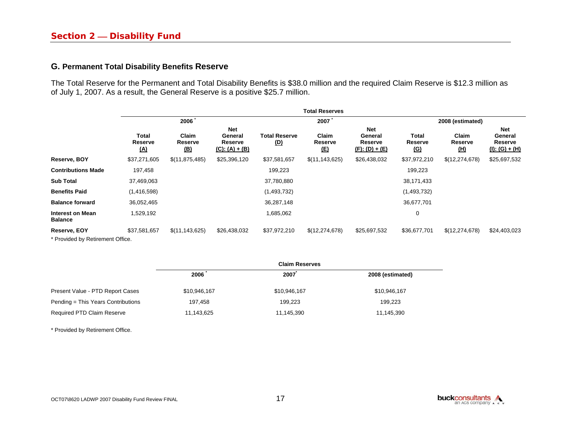#### **G. Permanent Total Disability Benefits Reserve**

The Total Reserve for the Permanent and Total Disability Benefits is \$38.0 million and the required Claim Reserve is \$12.3 million as of July 1, 2007. As a result, the General Reserve is a positive \$25.7 million.

|                                                  | <b>Total Reserves</b>          |                                |                                                      |                                    |                                |                                                       |                                |                                |                                               |
|--------------------------------------------------|--------------------------------|--------------------------------|------------------------------------------------------|------------------------------------|--------------------------------|-------------------------------------------------------|--------------------------------|--------------------------------|-----------------------------------------------|
|                                                  |                                | 2006                           |                                                      | 2007                               |                                |                                                       | 2008 (estimated)               |                                |                                               |
|                                                  | Total<br>Reserve<br><u>(A)</u> | Claim<br>Reserve<br><u>(B)</u> | <b>Net</b><br>General<br>Reserve<br>$(C): (A) + (B)$ | <b>Total Reserve</b><br><u>(D)</u> | Claim<br>Reserve<br><u>(E)</u> | <b>Net</b><br>General<br>Reserve<br>$(F)$ : (D) + (E) | Total<br>Reserve<br><u>(G)</u> | Claim<br>Reserve<br><u>(H)</u> | Net<br>General<br>Reserve<br>$(I): (G) + (H)$ |
| Reserve, BOY                                     | \$37,271,605                   | \$(11, 875, 485)               | \$25,396,120                                         | \$37,581,657                       | \$(11, 143, 625)               | \$26,438,032                                          | \$37,972,210                   | \$(12,274,678)                 | \$25,697,532                                  |
| <b>Contributions Made</b>                        | 197,458                        |                                |                                                      | 199,223                            |                                |                                                       | 199,223                        |                                |                                               |
| <b>Sub Total</b>                                 | 37,469,063                     |                                |                                                      | 37,780,880                         |                                |                                                       | 38,171,433                     |                                |                                               |
| <b>Benefits Paid</b>                             | (1,416,598)                    |                                |                                                      | (1,493,732)                        |                                |                                                       | (1,493,732)                    |                                |                                               |
| <b>Balance forward</b>                           | 36,052,465                     |                                |                                                      | 36,287,148                         |                                |                                                       | 36,677,701                     |                                |                                               |
| <b>Interest on Mean</b><br><b>Balance</b>        | 1,529,192                      |                                |                                                      | 1,685,062                          |                                |                                                       | 0                              |                                |                                               |
| Reserve, EOY<br>* Provided by Retirement Office. | \$37,581,657                   | \$(11, 143, 625)               | \$26,438,032                                         | \$37,972,210                       | \$(12,274,678)                 | \$25,697,532                                          | \$36,677,701                   | \$(12,274,678)                 | \$24,403,023                                  |

|                                    |              | <b>Claim Reserves</b> |                  |
|------------------------------------|--------------|-----------------------|------------------|
|                                    | 2006         | 2007                  | 2008 (estimated) |
| Present Value - PTD Report Cases   | \$10,946,167 | \$10,946,167          | \$10,946,167     |
| Pending = This Years Contributions | 197,458      | 199.223               | 199,223          |
| Required PTD Claim Reserve         | 11,143,625   | 11,145,390            | 11,145,390       |

\* Provided by Retirement Office.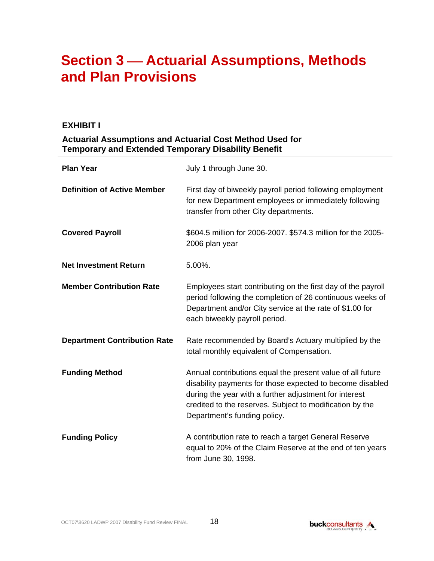# **Section 3 Actuarial Assumptions, Methods and Plan Provisions**

### **EXHIBIT I**

#### **Actuarial Assumptions and Actuarial Cost Method Used for Temporary and Extended Temporary Disability Benefit**

| <b>Plan Year</b>                    | July 1 through June 30.                                                                                                                                                                                                                                                       |
|-------------------------------------|-------------------------------------------------------------------------------------------------------------------------------------------------------------------------------------------------------------------------------------------------------------------------------|
| <b>Definition of Active Member</b>  | First day of biweekly payroll period following employment<br>for new Department employees or immediately following<br>transfer from other City departments.                                                                                                                   |
| <b>Covered Payroll</b>              | \$604.5 million for 2006-2007. \$574.3 million for the 2005-<br>2006 plan year                                                                                                                                                                                                |
| <b>Net Investment Return</b>        | $5.00\%$ .                                                                                                                                                                                                                                                                    |
| <b>Member Contribution Rate</b>     | Employees start contributing on the first day of the payroll<br>period following the completion of 26 continuous weeks of<br>Department and/or City service at the rate of \$1.00 for<br>each biweekly payroll period.                                                        |
| <b>Department Contribution Rate</b> | Rate recommended by Board's Actuary multiplied by the<br>total monthly equivalent of Compensation.                                                                                                                                                                            |
| <b>Funding Method</b>               | Annual contributions equal the present value of all future<br>disability payments for those expected to become disabled<br>during the year with a further adjustment for interest<br>credited to the reserves. Subject to modification by the<br>Department's funding policy. |
| <b>Funding Policy</b>               | A contribution rate to reach a target General Reserve<br>equal to 20% of the Claim Reserve at the end of ten years<br>from June 30, 1998.                                                                                                                                     |

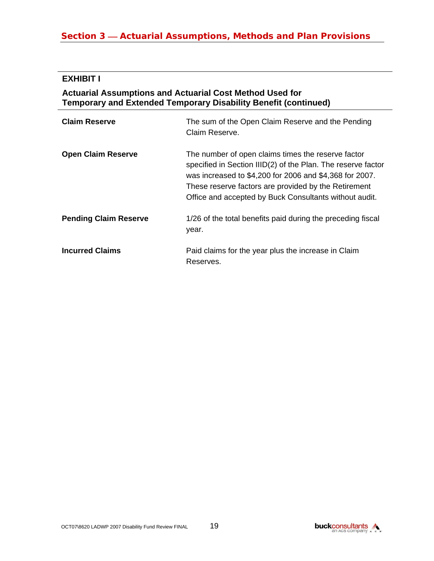## **Section 3 — Actuarial Assumptions, Methods and Plan Provisions**

## **EXHIBIT I**

## **Actuarial Assumptions and Actuarial Cost Method Used for Temporary and Extended Temporary Disability Benefit (continued)**

| <b>Claim Reserve</b>         | The sum of the Open Claim Reserve and the Pending<br>Claim Reserve.                                                                                                                                                                                                                             |
|------------------------------|-------------------------------------------------------------------------------------------------------------------------------------------------------------------------------------------------------------------------------------------------------------------------------------------------|
| <b>Open Claim Reserve</b>    | The number of open claims times the reserve factor<br>specified in Section IIID(2) of the Plan. The reserve factor<br>was increased to \$4,200 for 2006 and \$4,368 for 2007.<br>These reserve factors are provided by the Retirement<br>Office and accepted by Buck Consultants without audit. |
| <b>Pending Claim Reserve</b> | 1/26 of the total benefits paid during the preceding fiscal<br>year.                                                                                                                                                                                                                            |
| <b>Incurred Claims</b>       | Paid claims for the year plus the increase in Claim<br>Reserves.                                                                                                                                                                                                                                |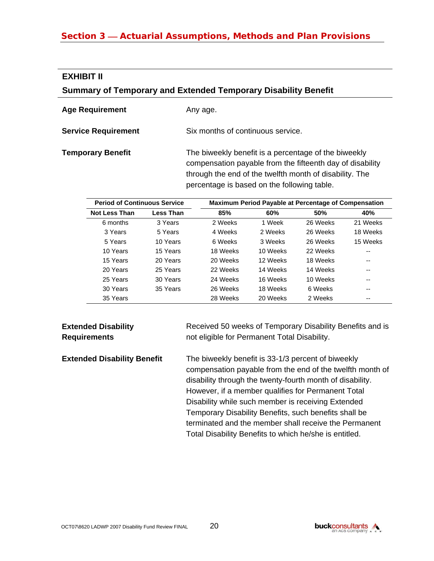### **Section 3 – Actuarial Assumptions, Methods and Plan Provisions**

#### **EXHIBIT II**

#### **Summary of Temporary and Extended Temporary Disability Benefit**

| <b>Age Requirement</b>     | Any age.                                                                                                                                                                                                                    |
|----------------------------|-----------------------------------------------------------------------------------------------------------------------------------------------------------------------------------------------------------------------------|
| <b>Service Requirement</b> | Six months of continuous service.                                                                                                                                                                                           |
| <b>Temporary Benefit</b>   | The biweekly benefit is a percentage of the biweekly<br>compensation payable from the fifteenth day of disability<br>through the end of the twelfth month of disability. The<br>percentage is based on the following table. |

| <b>Period of Continuous Service</b> |           | <b>Maximum Period Payable at Percentage of Compensation</b> |          |          |          |  |
|-------------------------------------|-----------|-------------------------------------------------------------|----------|----------|----------|--|
| <b>Not Less Than</b>                | Less Than | 85%                                                         | 60%      | 50%      | 40%      |  |
| 6 months                            | 3 Years   | 2 Weeks                                                     | 1 Week   | 26 Weeks | 21 Weeks |  |
| 3 Years                             | 5 Years   | 4 Weeks                                                     | 2 Weeks  | 26 Weeks | 18 Weeks |  |
| 5 Years                             | 10 Years  | 6 Weeks                                                     | 3 Weeks  | 26 Weeks | 15 Weeks |  |
| 10 Years                            | 15 Years  | 18 Weeks                                                    | 10 Weeks | 22 Weeks | --       |  |
| 15 Years                            | 20 Years  | 20 Weeks                                                    | 12 Weeks | 18 Weeks | --       |  |
| 20 Years                            | 25 Years  | 22 Weeks                                                    | 14 Weeks | 14 Weeks | --       |  |
| 25 Years                            | 30 Years  | 24 Weeks                                                    | 16 Weeks | 10 Weeks | --       |  |
| 30 Years                            | 35 Years  | 26 Weeks                                                    | 18 Weeks | 6 Weeks  | --       |  |
| 35 Years                            |           | 28 Weeks                                                    | 20 Weeks | 2 Weeks  | --       |  |

#### **Extended Disability Requirements**

Received 50 weeks of Temporary Disability Benefits and is not eligible for Permanent Total Disability.

**Extended Disability Benefit** The biweekly benefit is 33-1/3 percent of biweekly compensation payable from the end of the twelfth month of disability through the twenty-fourth month of disability. However, if a member qualifies for Permanent Total Disability while such member is receiving Extended Temporary Disability Benefits, such benefits shall be terminated and the member shall receive the Permanent Total Disability Benefits to which he/she is entitled.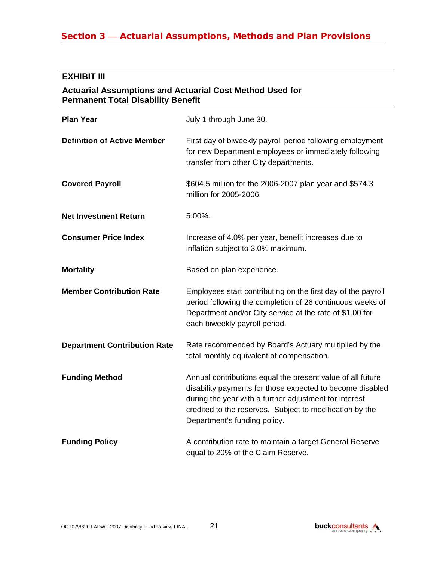#### **EXHIBIT III**

#### **Actuarial Assumptions and Actuarial Cost Method Used for Permanent Total Disability Benefit**

| <b>Plan Year</b>                    | July 1 through June 30.                                                                                                                                                                                                                                                       |
|-------------------------------------|-------------------------------------------------------------------------------------------------------------------------------------------------------------------------------------------------------------------------------------------------------------------------------|
| <b>Definition of Active Member</b>  | First day of biweekly payroll period following employment<br>for new Department employees or immediately following<br>transfer from other City departments.                                                                                                                   |
| <b>Covered Payroll</b>              | \$604.5 million for the 2006-2007 plan year and \$574.3<br>million for 2005-2006.                                                                                                                                                                                             |
| <b>Net Investment Return</b>        | 5.00%.                                                                                                                                                                                                                                                                        |
| <b>Consumer Price Index</b>         | Increase of 4.0% per year, benefit increases due to<br>inflation subject to 3.0% maximum.                                                                                                                                                                                     |
| <b>Mortality</b>                    | Based on plan experience.                                                                                                                                                                                                                                                     |
| <b>Member Contribution Rate</b>     | Employees start contributing on the first day of the payroll<br>period following the completion of 26 continuous weeks of<br>Department and/or City service at the rate of \$1.00 for<br>each biweekly payroll period.                                                        |
| <b>Department Contribution Rate</b> | Rate recommended by Board's Actuary multiplied by the<br>total monthly equivalent of compensation.                                                                                                                                                                            |
| <b>Funding Method</b>               | Annual contributions equal the present value of all future<br>disability payments for those expected to become disabled<br>during the year with a further adjustment for interest<br>credited to the reserves. Subject to modification by the<br>Department's funding policy. |
| <b>Funding Policy</b>               | A contribution rate to maintain a target General Reserve<br>equal to 20% of the Claim Reserve.                                                                                                                                                                                |

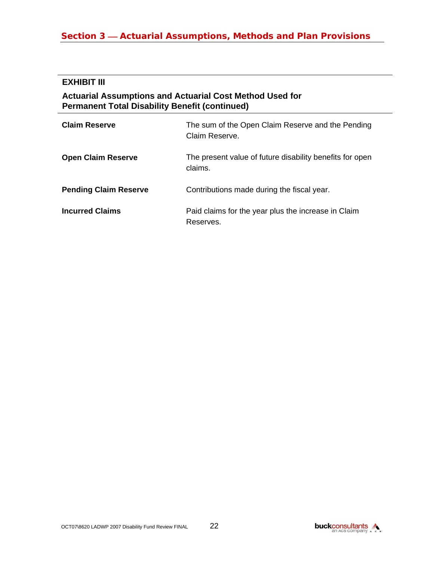## **Section 3 — Actuarial Assumptions, Methods and Plan Provisions**

#### **EXHIBIT III**

#### **Actuarial Assumptions and Actuarial Cost Method Used for Permanent Total Disability Benefit (continued)**

| <b>Claim Reserve</b>         | The sum of the Open Claim Reserve and the Pending<br>Claim Reserve. |
|------------------------------|---------------------------------------------------------------------|
| <b>Open Claim Reserve</b>    | The present value of future disability benefits for open<br>claims. |
| <b>Pending Claim Reserve</b> | Contributions made during the fiscal year.                          |
| <b>Incurred Claims</b>       | Paid claims for the year plus the increase in Claim<br>Reserves.    |

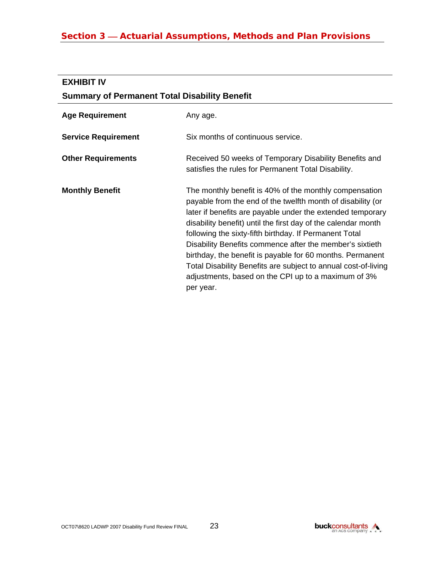# **Section 3 – Actuarial Assumptions, Methods and Plan Provisions**

### **EXHIBIT IV**

|  | <b>Summary of Permanent Total Disability Benefit</b> |  |  |
|--|------------------------------------------------------|--|--|
|  |                                                      |  |  |

| <b>Age Requirement</b>     | Any age.                                                                                                                                                                                                                                                                                                                                                                                                                                                                                                                                                                      |
|----------------------------|-------------------------------------------------------------------------------------------------------------------------------------------------------------------------------------------------------------------------------------------------------------------------------------------------------------------------------------------------------------------------------------------------------------------------------------------------------------------------------------------------------------------------------------------------------------------------------|
| <b>Service Requirement</b> | Six months of continuous service.                                                                                                                                                                                                                                                                                                                                                                                                                                                                                                                                             |
| <b>Other Requirements</b>  | Received 50 weeks of Temporary Disability Benefits and<br>satisfies the rules for Permanent Total Disability.                                                                                                                                                                                                                                                                                                                                                                                                                                                                 |
| <b>Monthly Benefit</b>     | The monthly benefit is 40% of the monthly compensation<br>payable from the end of the twelfth month of disability (or<br>later if benefits are payable under the extended temporary<br>disability benefit) until the first day of the calendar month<br>following the sixty-fifth birthday. If Permanent Total<br>Disability Benefits commence after the member's sixtieth<br>birthday, the benefit is payable for 60 months. Permanent<br>Total Disability Benefits are subject to annual cost-of-living<br>adjustments, based on the CPI up to a maximum of 3%<br>per year. |

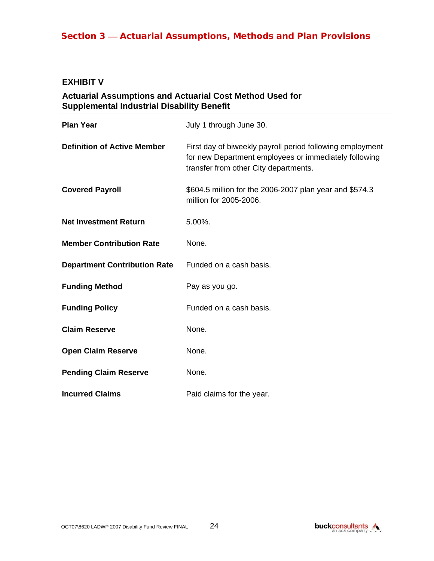## **Section 3 — Actuarial Assumptions, Methods and Plan Provisions**

#### **EXHIBIT V**

#### **Actuarial Assumptions and Actuarial Cost Method Used for Supplemental Industrial Disability Benefit**

| <b>Plan Year</b>                    | July 1 through June 30.                                                                                                                                     |
|-------------------------------------|-------------------------------------------------------------------------------------------------------------------------------------------------------------|
| <b>Definition of Active Member</b>  | First day of biweekly payroll period following employment<br>for new Department employees or immediately following<br>transfer from other City departments. |
| <b>Covered Payroll</b>              | \$604.5 million for the 2006-2007 plan year and \$574.3<br>million for 2005-2006.                                                                           |
| <b>Net Investment Return</b>        | 5.00%.                                                                                                                                                      |
| <b>Member Contribution Rate</b>     | None.                                                                                                                                                       |
| <b>Department Contribution Rate</b> | Funded on a cash basis.                                                                                                                                     |
| <b>Funding Method</b>               | Pay as you go.                                                                                                                                              |
| <b>Funding Policy</b>               | Funded on a cash basis.                                                                                                                                     |
| <b>Claim Reserve</b>                | None.                                                                                                                                                       |
| <b>Open Claim Reserve</b>           | None.                                                                                                                                                       |
| <b>Pending Claim Reserve</b>        | None.                                                                                                                                                       |
| <b>Incurred Claims</b>              | Paid claims for the year.                                                                                                                                   |